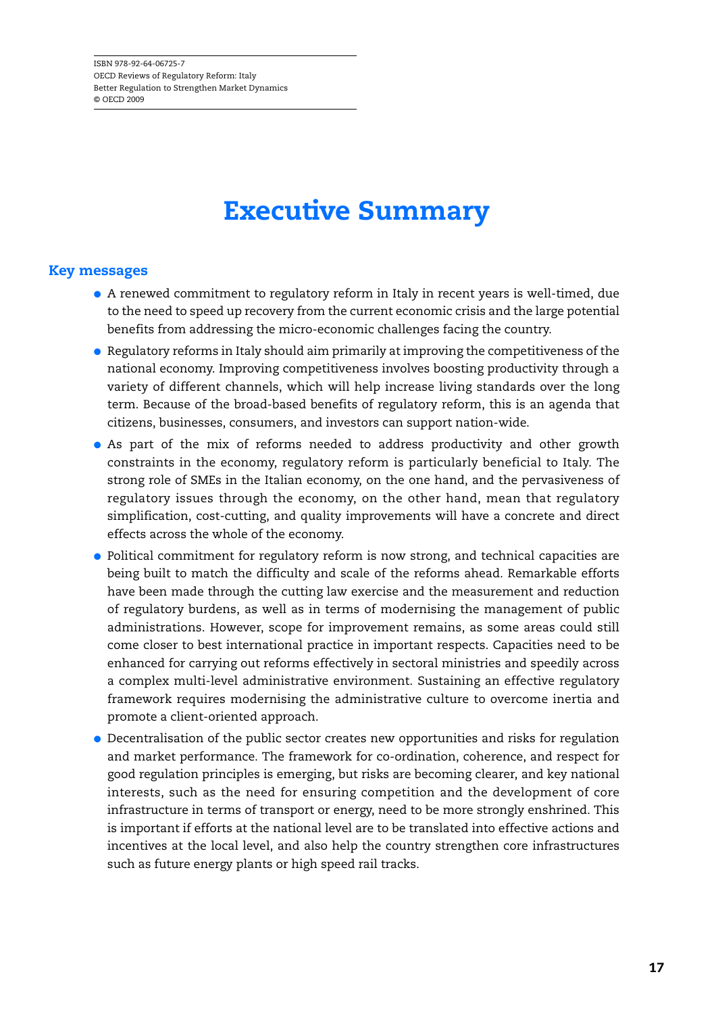ISBN 978-92-64-06725-7 OECD Reviews of Regulatory Reform: Italy Better Regulation to Strengthen Market Dynamics © OECD 2009

## **Executive Summary**

## **Key messages**

- A renewed commitment to regulatory reform in Italy in recent years is well-timed, due to the need to speed up recovery from the current economic crisis and the large potential benefits from addressing the micro-economic challenges facing the country.
- Regulatory reforms in Italy should aim primarily at improving the competitiveness of the national economy. Improving competitiveness involves boosting productivity through a variety of different channels, which will help increase living standards over the long term. Because of the broad-based benefits of regulatory reform, this is an agenda that citizens, businesses, consumers, and investors can support nation-wide.
- As part of the mix of reforms needed to address productivity and other growth constraints in the economy, regulatory reform is particularly beneficial to Italy. The strong role of SMEs in the Italian economy, on the one hand, and the pervasiveness of regulatory issues through the economy, on the other hand, mean that regulatory simplification, cost-cutting, and quality improvements will have a concrete and direct effects across the whole of the economy.
- Political commitment for regulatory reform is now strong, and technical capacities are being built to match the difficulty and scale of the reforms ahead. Remarkable efforts have been made through the cutting law exercise and the measurement and reduction of regulatory burdens, as well as in terms of modernising the management of public administrations. However, scope for improvement remains, as some areas could still come closer to best international practice in important respects. Capacities need to be enhanced for carrying out reforms effectively in sectoral ministries and speedily across a complex multi-level administrative environment. Sustaining an effective regulatory framework requires modernising the administrative culture to overcome inertia and promote a client-oriented approach.
- Decentralisation of the public sector creates new opportunities and risks for regulation and market performance. The framework for co-ordination, coherence, and respect for good regulation principles is emerging, but risks are becoming clearer, and key national interests, such as the need for ensuring competition and the development of core infrastructure in terms of transport or energy, need to be more strongly enshrined. This is important if efforts at the national level are to be translated into effective actions and incentives at the local level, and also help the country strengthen core infrastructures such as future energy plants or high speed rail tracks.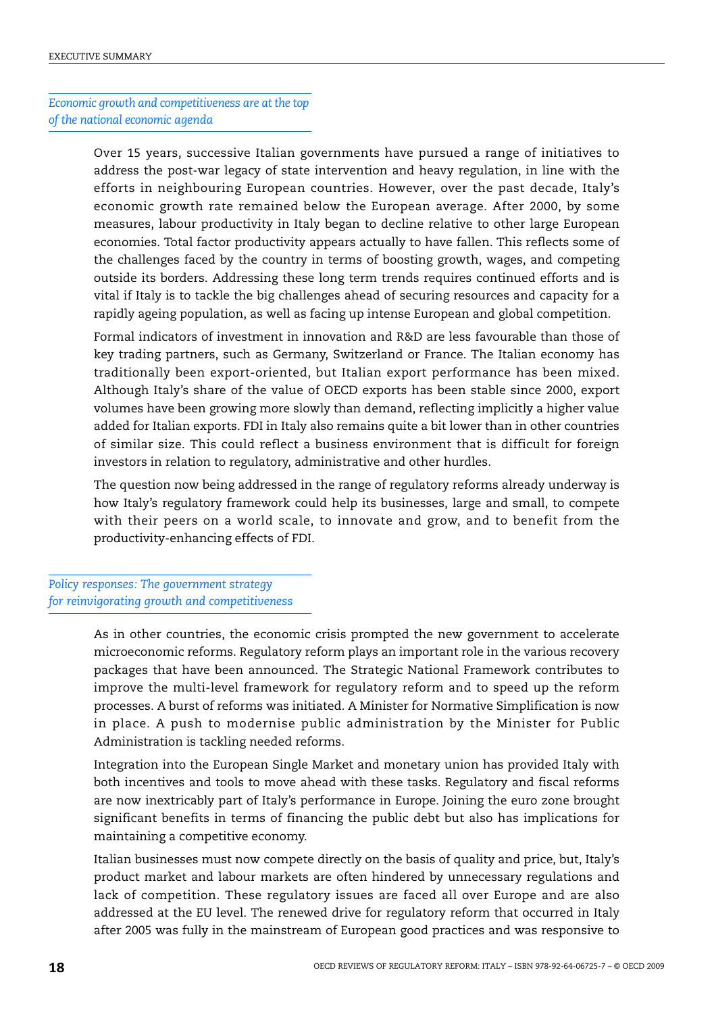*Economic growth and competitiveness are at the top of the national economic agenda*

> Over 15 years, successive Italian governments have pursued a range of initiatives to address the post-war legacy of state intervention and heavy regulation, in line with the efforts in neighbouring European countries. However, over the past decade, Italy's economic growth rate remained below the European average. After 2000, by some measures, labour productivity in Italy began to decline relative to other large European economies. Total factor productivity appears actually to have fallen. This reflects some of the challenges faced by the country in terms of boosting growth, wages, and competing outside its borders. Addressing these long term trends requires continued efforts and is vital if Italy is to tackle the big challenges ahead of securing resources and capacity for a rapidly ageing population, as well as facing up intense European and global competition.

> Formal indicators of investment in innovation and R&D are less favourable than those of key trading partners, such as Germany, Switzerland or France. The Italian economy has traditionally been export-oriented, but Italian export performance has been mixed. Although Italy's share of the value of OECD exports has been stable since 2000, export volumes have been growing more slowly than demand, reflecting implicitly a higher value added for Italian exports. FDI in Italy also remains quite a bit lower than in other countries of similar size. This could reflect a business environment that is difficult for foreign investors in relation to regulatory, administrative and other hurdles.

> The question now being addressed in the range of regulatory reforms already underway is how Italy's regulatory framework could help its businesses, large and small, to compete with their peers on a world scale, to innovate and grow, and to benefit from the productivity-enhancing effects of FDI.

*Policy responses: The government strategy for reinvigorating growth and competitiveness*

> As in other countries, the economic crisis prompted the new government to accelerate microeconomic reforms. Regulatory reform plays an important role in the various recovery packages that have been announced. The Strategic National Framework contributes to improve the multi-level framework for regulatory reform and to speed up the reform processes. A burst of reforms was initiated. A Minister for Normative Simplification is now in place. A push to modernise public administration by the Minister for Public Administration is tackling needed reforms.

> Integration into the European Single Market and monetary union has provided Italy with both incentives and tools to move ahead with these tasks. Regulatory and fiscal reforms are now inextricably part of Italy's performance in Europe. Joining the euro zone brought significant benefits in terms of financing the public debt but also has implications for maintaining a competitive economy.

> Italian businesses must now compete directly on the basis of quality and price, but, Italy's product market and labour markets are often hindered by unnecessary regulations and lack of competition. These regulatory issues are faced all over Europe and are also addressed at the EU level. The renewed drive for regulatory reform that occurred in Italy after 2005 was fully in the mainstream of European good practices and was responsive to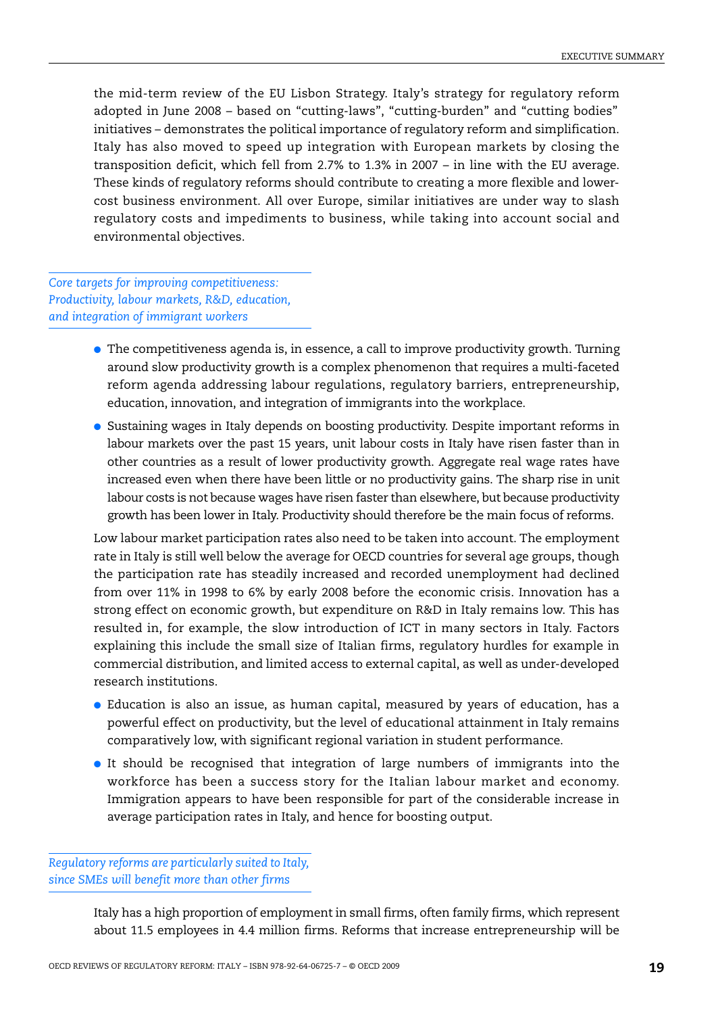the mid-term review of the EU Lisbon Strategy. Italy's strategy for regulatory reform adopted in June 2008 – based on "cutting-laws", "cutting-burden" and "cutting bodies" initiatives – demonstrates the political importance of regulatory reform and simplification. Italy has also moved to speed up integration with European markets by closing the transposition deficit, which fell from 2.7% to 1.3% in 2007 – in line with the EU average. These kinds of regulatory reforms should contribute to creating a more flexible and lowercost business environment. All over Europe, similar initiatives are under way to slash regulatory costs and impediments to business, while taking into account social and environmental objectives.

*Core targets for improving competitiveness: Productivity, labour markets, R&D, education, and integration of immigrant workers*

- The competitiveness agenda is, in essence, a call to improve productivity growth. Turning around slow productivity growth is a complex phenomenon that requires a multi-faceted reform agenda addressing labour regulations, regulatory barriers, entrepreneurship, education, innovation, and integration of immigrants into the workplace.
- Sustaining wages in Italy depends on boosting productivity. Despite important reforms in labour markets over the past 15 years, unit labour costs in Italy have risen faster than in other countries as a result of lower productivity growth. Aggregate real wage rates have increased even when there have been little or no productivity gains. The sharp rise in unit labour costs is not because wages have risen faster than elsewhere, but because productivity growth has been lower in Italy. Productivity should therefore be the main focus of reforms.

Low labour market participation rates also need to be taken into account. The employment rate in Italy is still well below the average for OECD countries for several age groups, though the participation rate has steadily increased and recorded unemployment had declined from over 11% in 1998 to 6% by early 2008 before the economic crisis. Innovation has a strong effect on economic growth, but expenditure on R&D in Italy remains low. This has resulted in, for example, the slow introduction of ICT in many sectors in Italy. Factors explaining this include the small size of Italian firms, regulatory hurdles for example in commercial distribution, and limited access to external capital, as well as under-developed research institutions.

- Education is also an issue, as human capital, measured by years of education, has a powerful effect on productivity, but the level of educational attainment in Italy remains comparatively low, with significant regional variation in student performance.
- It should be recognised that integration of large numbers of immigrants into the workforce has been a success story for the Italian labour market and economy. Immigration appears to have been responsible for part of the considerable increase in average participation rates in Italy, and hence for boosting output.

*Regulatory reforms are particularly suited to Italy, since SMEs will benefit more than other firms*

> Italy has a high proportion of employment in small firms, often family firms, which represent about 11.5 employees in 4.4 million firms. Reforms that increase entrepreneurship will be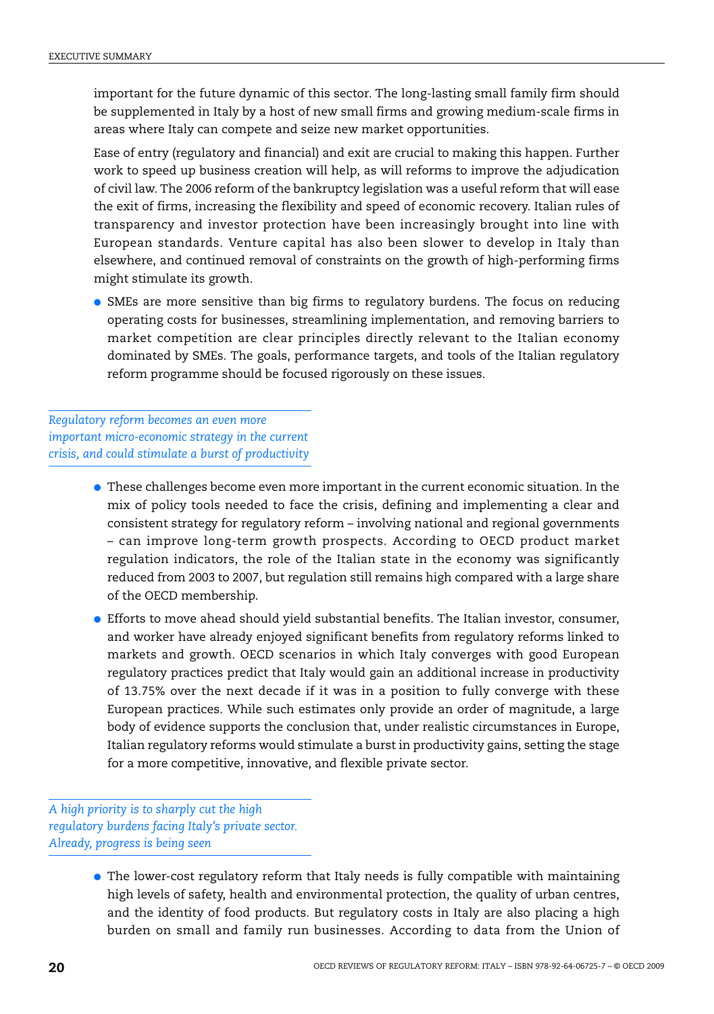important for the future dynamic of this sector. The long-lasting small family firm should be supplemented in Italy by a host of new small firms and growing medium-scale firms in areas where Italy can compete and seize new market opportunities.

Ease of entry (regulatory and financial) and exit are crucial to making this happen. Further work to speed up business creation will help, as will reforms to improve the adjudication of civil law. The 2006 reform of the bankruptcy legislation was a useful reform that will ease the exit of firms, increasing the flexibility and speed of economic recovery. Italian rules of transparency and investor protection have been increasingly brought into line with European standards. Venture capital has also been slower to develop in Italy than elsewhere, and continued removal of constraints on the growth of high-performing firms might stimulate its growth.

● SMEs are more sensitive than big firms to regulatory burdens. The focus on reducing operating costs for businesses, streamlining implementation, and removing barriers to market competition are clear principles directly relevant to the Italian economy dominated by SMEs. The goals, performance targets, and tools of the Italian regulatory reform programme should be focused rigorously on these issues.

*Regulatory reform becomes an even more important micro-economic strategy in the current crisis, and could stimulate a burst of productivity*

- These challenges become even more important in the current economic situation. In the mix of policy tools needed to face the crisis, defining and implementing a clear and consistent strategy for regulatory reform – involving national and regional governments – can improve long-term growth prospects. According to OECD product market regulation indicators, the role of the Italian state in the economy was significantly reduced from 2003 to 2007, but regulation still remains high compared with a large share of the OECD membership.
- Efforts to move ahead should yield substantial benefits. The Italian investor, consumer, and worker have already enjoyed significant benefits from regulatory reforms linked to markets and growth. OECD scenarios in which Italy converges with good European regulatory practices predict that Italy would gain an additional increase in productivity of 13.75% over the next decade if it was in a position to fully converge with these European practices. While such estimates only provide an order of magnitude, a large body of evidence supports the conclusion that, under realistic circumstances in Europe, Italian regulatory reforms would stimulate a burst in productivity gains, setting the stage for a more competitive, innovative, and flexible private sector.

*A high priority is to sharply cut the high regulatory burdens facing Italy's private sector. Already, progress is being seen*

> ● The lower-cost regulatory reform that Italy needs is fully compatible with maintaining high levels of safety, health and environmental protection, the quality of urban centres, and the identity of food products. But regulatory costs in Italy are also placing a high burden on small and family run businesses. According to data from the Union of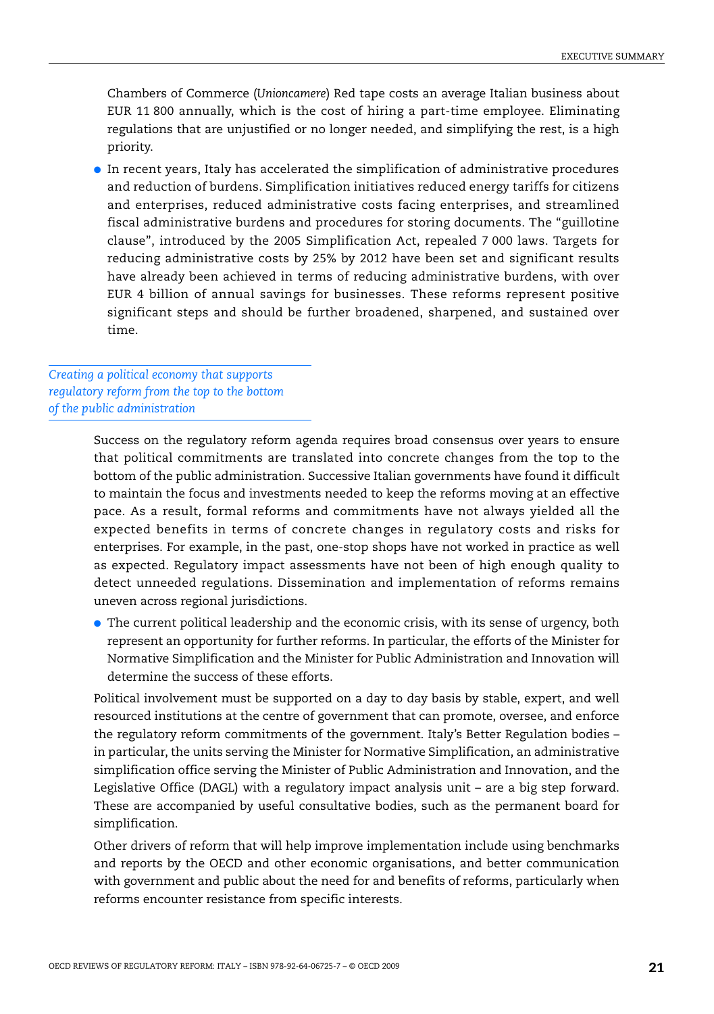Chambers of Commerce (*Unioncamere*) Red tape costs an average Italian business about EUR 11 800 annually, which is the cost of hiring a part-time employee. Eliminating regulations that are unjustified or no longer needed, and simplifying the rest, is a high priority.

● In recent years, Italy has accelerated the simplification of administrative procedures and reduction of burdens. Simplification initiatives reduced energy tariffs for citizens and enterprises, reduced administrative costs facing enterprises, and streamlined fiscal administrative burdens and procedures for storing documents. The "guillotine clause", introduced by the 2005 Simplification Act, repealed 7 000 laws. Targets for reducing administrative costs by 25% by 2012 have been set and significant results have already been achieved in terms of reducing administrative burdens, with over EUR 4 billion of annual savings for businesses. These reforms represent positive significant steps and should be further broadened, sharpened, and sustained over time.

*Creating a political economy that supports regulatory reform from the top to the bottom of the public administration*

> Success on the regulatory reform agenda requires broad consensus over years to ensure that political commitments are translated into concrete changes from the top to the bottom of the public administration. Successive Italian governments have found it difficult to maintain the focus and investments needed to keep the reforms moving at an effective pace. As a result, formal reforms and commitments have not always yielded all the expected benefits in terms of concrete changes in regulatory costs and risks for enterprises. For example, in the past, one-stop shops have not worked in practice as well as expected. Regulatory impact assessments have not been of high enough quality to detect unneeded regulations. Dissemination and implementation of reforms remains uneven across regional jurisdictions.

> ● The current political leadership and the economic crisis, with its sense of urgency, both represent an opportunity for further reforms. In particular, the efforts of the Minister for Normative Simplification and the Minister for Public Administration and Innovation will determine the success of these efforts.

> Political involvement must be supported on a day to day basis by stable, expert, and well resourced institutions at the centre of government that can promote, oversee, and enforce the regulatory reform commitments of the government. Italy's Better Regulation bodies – in particular, the units serving the Minister for Normative Simplification, an administrative simplification office serving the Minister of Public Administration and Innovation, and the Legislative Office (DAGL) with a regulatory impact analysis unit – are a big step forward. These are accompanied by useful consultative bodies, such as the permanent board for simplification.

> Other drivers of reform that will help improve implementation include using benchmarks and reports by the OECD and other economic organisations, and better communication with government and public about the need for and benefits of reforms, particularly when reforms encounter resistance from specific interests.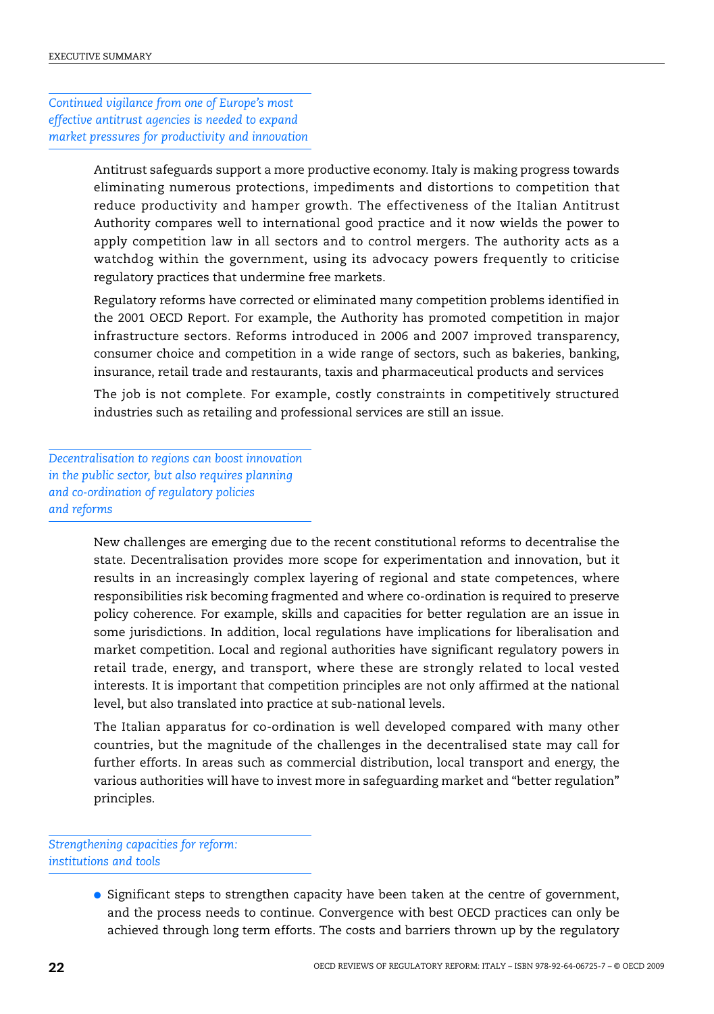*Continued vigilance from one of Europe's most effective antitrust agencies is needed to expand market pressures for productivity and innovation*

> Antitrust safeguards support a more productive economy. Italy is making progress towards eliminating numerous protections, impediments and distortions to competition that reduce productivity and hamper growth. The effectiveness of the Italian Antitrust Authority compares well to international good practice and it now wields the power to apply competition law in all sectors and to control mergers. The authority acts as a watchdog within the government, using its advocacy powers frequently to criticise regulatory practices that undermine free markets.

> Regulatory reforms have corrected or eliminated many competition problems identified in the 2001 OECD Report. For example, the Authority has promoted competition in major infrastructure sectors. Reforms introduced in 2006 and 2007 improved transparency, consumer choice and competition in a wide range of sectors, such as bakeries, banking, insurance, retail trade and restaurants, taxis and pharmaceutical products and services

> The job is not complete. For example, costly constraints in competitively structured industries such as retailing and professional services are still an issue.

*Decentralisation to regions can boost innovation in the public sector, but also requires planning and co-ordination of regulatory policies and reforms*

> New challenges are emerging due to the recent constitutional reforms to decentralise the state. Decentralisation provides more scope for experimentation and innovation, but it results in an increasingly complex layering of regional and state competences, where responsibilities risk becoming fragmented and where co-ordination is required to preserve policy coherence. For example, skills and capacities for better regulation are an issue in some jurisdictions. In addition, local regulations have implications for liberalisation and market competition. Local and regional authorities have significant regulatory powers in retail trade, energy, and transport, where these are strongly related to local vested interests. It is important that competition principles are not only affirmed at the national level, but also translated into practice at sub-national levels.

> The Italian apparatus for co-ordination is well developed compared with many other countries, but the magnitude of the challenges in the decentralised state may call for further efforts. In areas such as commercial distribution, local transport and energy, the various authorities will have to invest more in safeguarding market and "better regulation" principles.

*Strengthening capacities for reform: institutions and tools*

> ● Significant steps to strengthen capacity have been taken at the centre of government, and the process needs to continue. Convergence with best OECD practices can only be achieved through long term efforts. The costs and barriers thrown up by the regulatory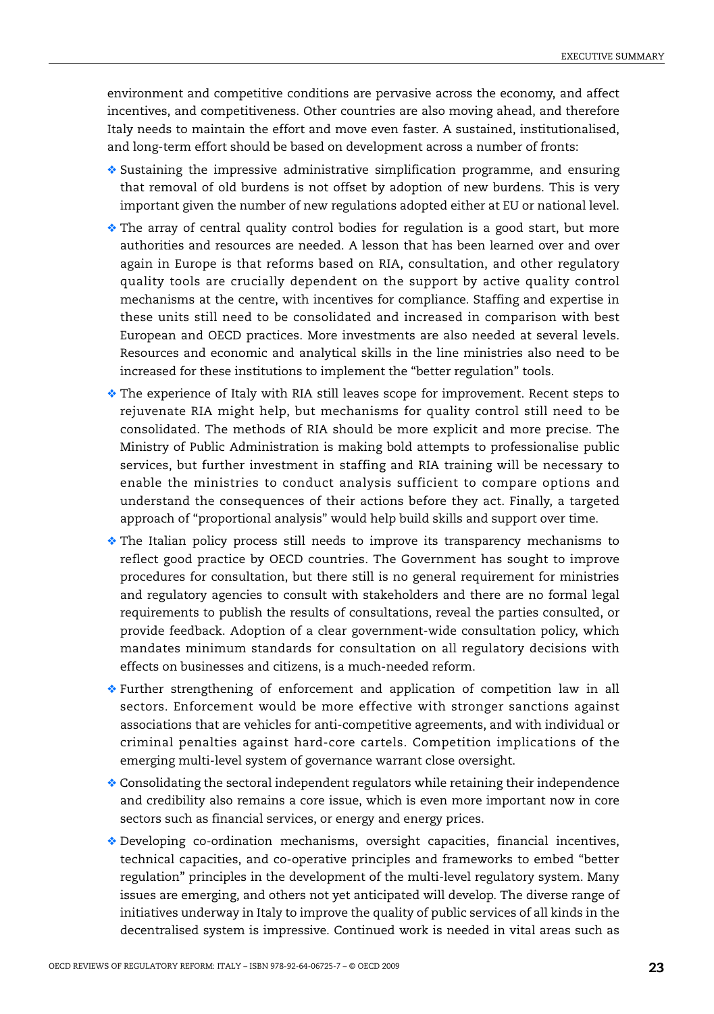environment and competitive conditions are pervasive across the economy, and affect incentives, and competitiveness. Other countries are also moving ahead, and therefore Italy needs to maintain the effort and move even faster. A sustained, institutionalised, and long-term effort should be based on development across a number of fronts:

- ❖ Sustaining the impressive administrative simplification programme, and ensuring that removal of old burdens is not offset by adoption of new burdens. This is very important given the number of new regulations adopted either at EU or national level.
- ❖ The array of central quality control bodies for regulation is a good start, but more authorities and resources are needed. A lesson that has been learned over and over again in Europe is that reforms based on RIA, consultation, and other regulatory quality tools are crucially dependent on the support by active quality control mechanisms at the centre, with incentives for compliance. Staffing and expertise in these units still need to be consolidated and increased in comparison with best European and OECD practices. More investments are also needed at several levels. Resources and economic and analytical skills in the line ministries also need to be increased for these institutions to implement the "better regulation" tools.
- ❖ The experience of Italy with RIA still leaves scope for improvement. Recent steps to rejuvenate RIA might help, but mechanisms for quality control still need to be consolidated. The methods of RIA should be more explicit and more precise. The Ministry of Public Administration is making bold attempts to professionalise public services, but further investment in staffing and RIA training will be necessary to enable the ministries to conduct analysis sufficient to compare options and understand the consequences of their actions before they act. Finally, a targeted approach of "proportional analysis" would help build skills and support over time.
- ❖ The Italian policy process still needs to improve its transparency mechanisms to reflect good practice by OECD countries. The Government has sought to improve procedures for consultation, but there still is no general requirement for ministries and regulatory agencies to consult with stakeholders and there are no formal legal requirements to publish the results of consultations, reveal the parties consulted, or provide feedback. Adoption of a clear government-wide consultation policy, which mandates minimum standards for consultation on all regulatory decisions with effects on businesses and citizens, is a much-needed reform.
- ❖ Further strengthening of enforcement and application of competition law in all sectors. Enforcement would be more effective with stronger sanctions against associations that are vehicles for anti-competitive agreements, and with individual or criminal penalties against hard-core cartels. Competition implications of the emerging multi-level system of governance warrant close oversight.
- ❖ Consolidating the sectoral independent regulators while retaining their independence and credibility also remains a core issue, which is even more important now in core sectors such as financial services, or energy and energy prices.
- ❖ Developing co-ordination mechanisms, oversight capacities, financial incentives, technical capacities, and co-operative principles and frameworks to embed "better regulation" principles in the development of the multi-level regulatory system. Many issues are emerging, and others not yet anticipated will develop. The diverse range of initiatives underway in Italy to improve the quality of public services of all kinds in the decentralised system is impressive. Continued work is needed in vital areas such as